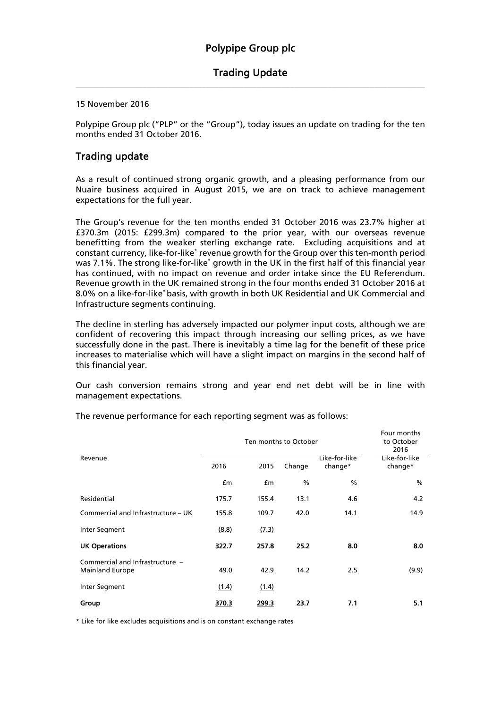## 15 November 2016

Polypipe Group plc ("PLP" or the "Group"), today issues an update on trading for the ten months ended 31 October 2016.

# Trading update

As a result of continued strong organic growth, and a pleasing performance from our Nuaire business acquired in August 2015, we are on track to achieve management expectations for the full year.

The Group's revenue for the ten months ended 31 October 2016 was 23.7% higher at £370.3m (2015: £299.3m) compared to the prior year, with our overseas revenue benefitting from the weaker sterling exchange rate. Excluding acquisitions and at constant currency, like-for-like<sup>\*</sup> revenue growth for the Group over this ten-month period was 7.1%. The strong like-for-like<sup>\*</sup> growth in the UK in the first half of this financial year has continued, with no impact on revenue and order intake since the EU Referendum. Revenue growth in the UK remained strong in the four months ended 31 October 2016 at 8.0% on a like-for-like\* basis, with growth in both UK Residential and UK Commercial and Infrastructure segments continuing.

The decline in sterling has adversely impacted our polymer input costs, although we are confident of recovering this impact through increasing our selling prices, as we have successfully done in the past. There is inevitably a time lag for the benefit of these price increases to materialise which will have a slight impact on margins in the second half of this financial year.

Our cash conversion remains strong and year end net debt will be in line with management expectations.

|                                                    | Ten months to October |              |               |                          | Four months<br>to October<br>2016 |
|----------------------------------------------------|-----------------------|--------------|---------------|--------------------------|-----------------------------------|
| Revenue                                            | 2016                  | 2015         | Change        | Like-for-like<br>change* | Like-for-like<br>change*          |
|                                                    | £m                    | £m           | $\frac{0}{0}$ | $\%$                     | $\%$                              |
| Residential                                        | 175.7                 | 155.4        | 13.1          | 4.6                      | 4.2                               |
| Commercial and Infrastructure - UK                 | 155.8                 | 109.7        | 42.0          | 14.1                     | 14.9                              |
| Inter Segment                                      | (8.8)                 | (7.3)        |               |                          |                                   |
| <b>UK Operations</b>                               | 322.7                 | 257.8        | 25.2          | 8.0                      | 8.0                               |
| Commercial and Infrastructure -<br>Mainland Europe | 49.0                  | 42.9         | 14.2          | 2.5                      | (9.9)                             |
| Inter Segment                                      | (1.4)                 | (1.4)        |               |                          |                                   |
| Group                                              | 370.3                 | <u>299.3</u> | 23.7          | 7.1                      | 5.1                               |

The revenue performance for each reporting segment was as follows:

\* Like for like excludes acquisitions and is on constant exchange rates